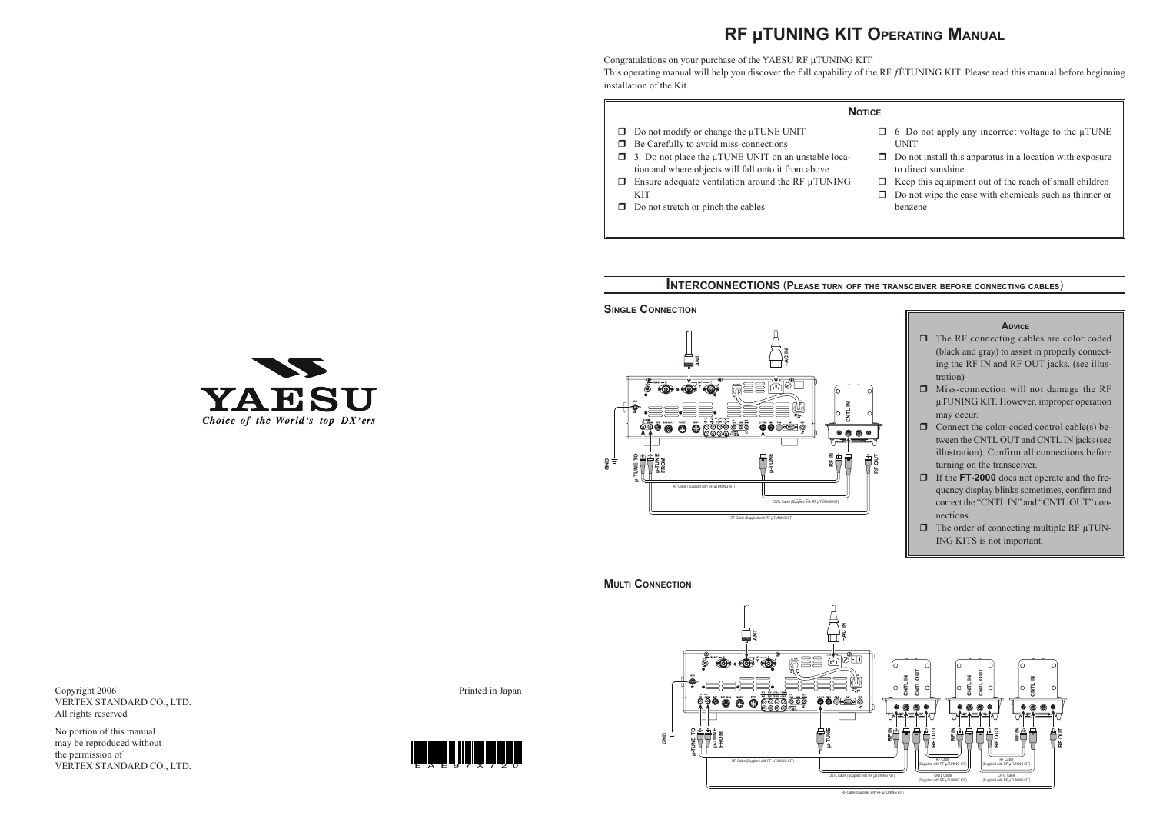- $\Box$  6 Do not apply any incorrect voltage to the  $\mu$ TUNE UNIT
- $\Box$  Do not install this apparatus in a location with exposure to direct sunshine
- $\Box$  Keep this equipment out of the reach of small children
- $\Box$  Do not wipe the case with chemicals such as thinner or benzene



**SINGLE CONNECTION**

#### **NOTICE**

- $\Box$  Do not modify or change the  $\mu$ TUNE UNIT
- $\Box$  Be Carefully to avoid miss-connections
- $\Box$  3 Do not place the  $\mu$ TUNE UNIT on an unstable location and where objects will fall onto it from above
- $\Box$  Ensure adequate ventilation around the RF  $\mu$ TUNING KIT
- $\Box$  Do not stretch or pinch the cables



YAESU Choice of the World's top DX'ers

Copyright 2006 VERTEX STANDARD CO., LTD. All rights reserved

No portion of this manual may be reproduced without the permission of VERTEX STANDARD CO., LTD. Printed in Japan

## **INTERCONNECTIONS** (**PLEASE TURN OFF THE TRANSCEIVER BEFORE CONNECTING CABLES**)

# **RF µTUNING KIT OPERATING MANUAL**

Congratulations on your purchase of the YAESU RF μTUNING KIT. This operating manual will help you discover the full capability of the RF  $f$ ÊTUNING KIT. Please read this manual before beginning installation of the Kit.

**RF OUT**



**MULTI CONNECTION**